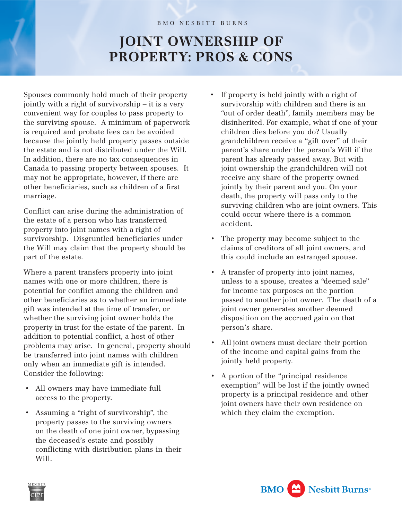## **JOINT OWNERSHIP OF PROPERTY: PROS & CONS**

Spouses commonly hold much of their property jointly with a right of survivorship – it is a very convenient way for couples to pass property to the surviving spouse. A minimum of paperwork is required and probate fees can be avoided because the jointly held property passes outside the estate and is not distributed under the Will. In addition, there are no tax consequences in Canada to passing property between spouses. It may not be appropriate, however, if there are other beneficiaries, such as children of a first marriage.

Conflict can arise during the administration of the estate of a person who has transferred property into joint names with a right of survivorship. Disgruntled beneficiaries under the Will may claim that the property should be part of the estate.

Where a parent transfers property into joint names with one or more children, there is potential for conflict among the children and other beneficiaries as to whether an immediate gift was intended at the time of transfer, or whether the surviving joint owner holds the property in trust for the estate of the parent. In addition to potential conflict, a host of other problems may arise. In general, property should be transferred into joint names with children only when an immediate gift is intended. Consider the following:

- All owners may have immediate full access to the property.
- Assuming a "right of survivorship", the property passes to the surviving owners on the death of one joint owner, bypassing the deceased's estate and possibly conflicting with distribution plans in their Will.
- If property is held jointly with a right of survivorship with children and there is an "out of order death", family members may be disinherited. For example, what if one of your children dies before you do? Usually grandchildren receive a "gift over" of their parent's share under the person's Will if the parent has already passed away. But with joint ownership the grandchildren will not receive any share of the property owned jointly by their parent and you. On your death, the property will pass only to the surviving children who are joint owners. This could occur where there is a common accident.
- The property may become subject to the claims of creditors of all joint owners, and this could include an estranged spouse.
- A transfer of property into joint names, unless to a spouse, creates a "deemed sale" for income tax purposes on the portion passed to another joint owner. The death of a joint owner generates another deemed disposition on the accrued gain on that person's share.
- All joint owners must declare their portion of the income and capital gains from the jointly held property.
- A portion of the "principal residence exemption" will be lost if the jointly owned property is a principal residence and other joint owners have their own residence on which they claim the exemption.